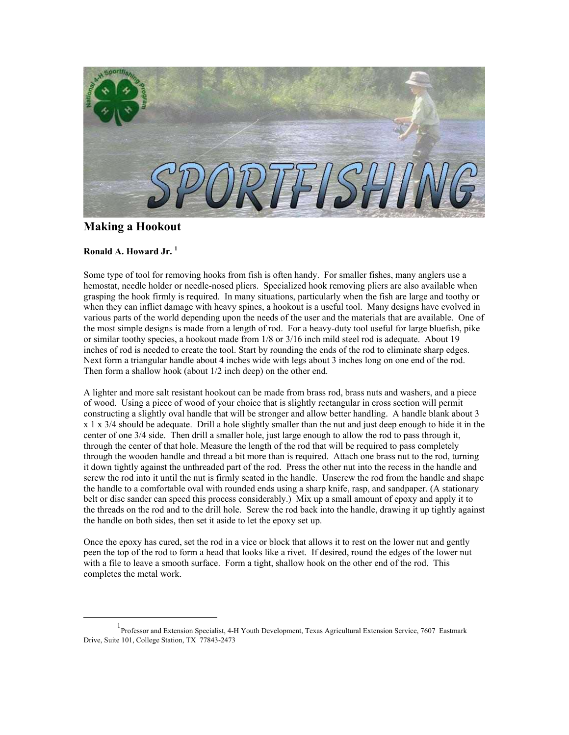

## **Making a Hookout**

## **Ronald A. Howard Jr. [1](#page-0-0)**

Some type of tool for removing hooks from fish is often handy. For smaller fishes, many anglers use a hemostat, needle holder or needle-nosed pliers. Specialized hook removing pliers are also available when grasping the hook firmly is required. In many situations, particularly when the fish are large and toothy or when they can inflict damage with heavy spines, a hookout is a useful tool. Many designs have evolved in various parts of the world depending upon the needs of the user and the materials that are available. One of the most simple designs is made from a length of rod. For a heavy-duty tool useful for large bluefish, pike or similar toothy species, a hookout made from 1/8 or 3/16 inch mild steel rod is adequate. About 19 inches of rod is needed to create the tool. Start by rounding the ends of the rod to eliminate sharp edges. Next form a triangular handle about 4 inches wide with legs about 3 inches long on one end of the rod. Then form a shallow hook (about 1/2 inch deep) on the other end.

A lighter and more salt resistant hookout can be made from brass rod, brass nuts and washers, and a piece of wood. Using a piece of wood of your choice that is slightly rectangular in cross section will permit constructing a slightly oval handle that will be stronger and allow better handling. A handle blank about 3 x 1 x 3/4 should be adequate. Drill a hole slightly smaller than the nut and just deep enough to hide it in the center of one 3/4 side. Then drill a smaller hole, just large enough to allow the rod to pass through it, through the center of that hole. Measure the length of the rod that will be required to pass completely through the wooden handle and thread a bit more than is required. Attach one brass nut to the rod, turning it down tightly against the unthreaded part of the rod. Press the other nut into the recess in the handle and screw the rod into it until the nut is firmly seated in the handle. Unscrew the rod from the handle and shape the handle to a comfortable oval with rounded ends using a sharp knife, rasp, and sandpaper. (A stationary belt or disc sander can speed this process considerably.) Mix up a small amount of epoxy and apply it to the threads on the rod and to the drill hole. Screw the rod back into the handle, drawing it up tightly against the handle on both sides, then set it aside to let the epoxy set up.

Once the epoxy has cured, set the rod in a vice or block that allows it to rest on the lower nut and gently peen the top of the rod to form a head that looks like a rivet. If desired, round the edges of the lower nut with a file to leave a smooth surface. Form a tight, shallow hook on the other end of the rod. This completes the metal work.

<span id="page-0-0"></span><sup>&</sup>lt;u>1</u> Professor and Extension Specialist, 4-H Youth Development, Texas Agricultural Extension Service, 7607 Eastmark Drive, Suite 101, College Station, TX 77843-2473